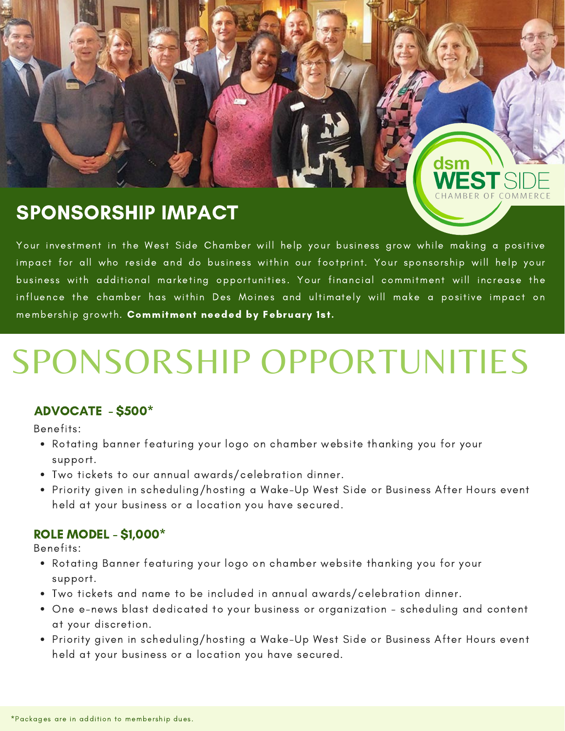## SPONSORSHIP IMPACT

Your investment in the West Side Chamber will help your business grow while making a positive impact for all who reside and do business within our footprint. Your sponsorship will help your business with additional marketing opportunities. Your financial commitment will increase the influence the chamber has within Des Moines and ultimately will make a positive impact on membership growth. Commitment needed by February 1st.

dsm

# SPONSORSHIP OPPORTUNITIES

#### ADVOCATE - \$500\*

Benefits:

- Rotating banner featuring your logo on chamber website thanking you for your support.
- Two tickets to our annual awards/celebration dinner.
- Priority given in scheduling/hosting a Wake-Up West Side or Business After Hours event held at your business or a location you have secured.

#### ROLE MODEL - \$1,000\*

Benefits:

- Rotating Banner featuring your logo on chamber website thanking you for your support.
- Two tickets and name to be included in annual awards/celebration dinner.
- One e-news blast dedicated to your business or organization scheduling and content at your discretion.
- Priority given in scheduling/hosting a Wake-Up West Side or Business After Hours event held at your business or a location you have secured.